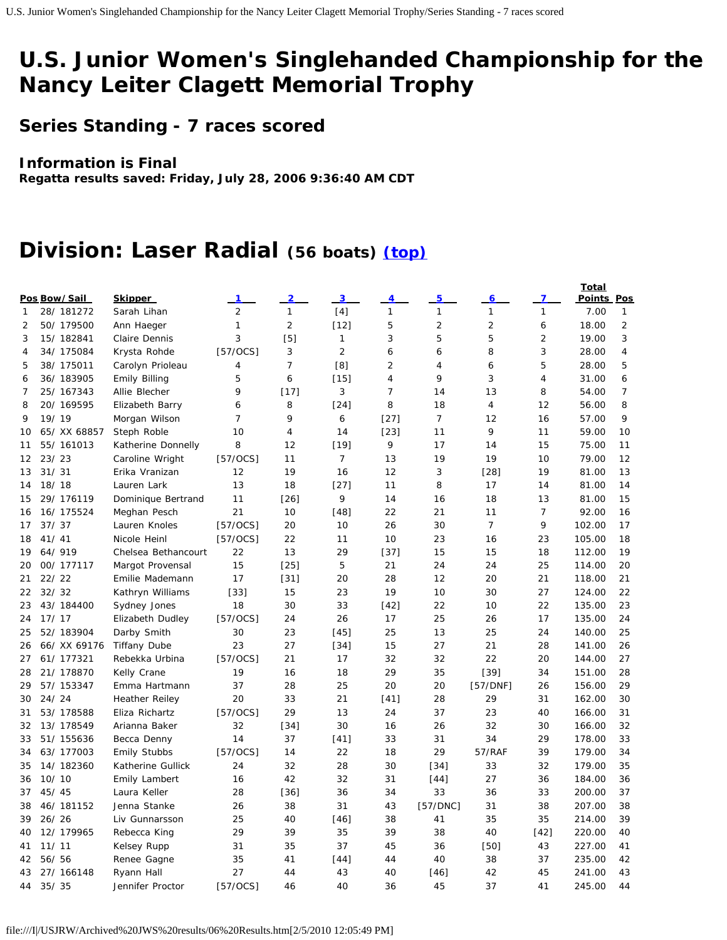# **U.S. Junior Women's Singlehanded Championship for the Nancy Leiter Clagett Memorial Trophy**

**Series Standing - 7 races scored**

#### **Information is Final**

**Regatta results saved: Friday, July 28, 2006 9:36:40 AM CDT**

## **Division: Laser Radial (56 boats) [\(top\)](http://www.ussailing.org/championships/youth/usjrw/single/2006/JWS2006.html#top)**

|                                |              |                       |                |                |                |                |                |                |                | Total  |                |
|--------------------------------|--------------|-----------------------|----------------|----------------|----------------|----------------|----------------|----------------|----------------|--------|----------------|
| Pos Bow/Sail<br><b>Skipper</b> |              |                       |                | 3              | 4              | 5              | 6              | 7              | Points Pos     |        |                |
| 1                              | 28/ 181272   | Sarah Lihan           | $\overline{2}$ | $\mathbf{1}$   | [4]            | $\mathbf{1}$   | $\mathbf{1}$   | $\mathbf{1}$   | $\mathbf{1}$   | 7.00   | 1              |
| 2                              | 50/179500    | Ann Haeger            | 1              | $\overline{2}$ | $[12]$         | 5              | $\overline{2}$ | $\overline{2}$ | 6              | 18.00  | $\overline{2}$ |
| 3                              | 15/182841    | Claire Dennis         | 3              | [5]            | 1              | 3              | 5              | 5              | $\overline{2}$ | 19.00  | 3              |
| 4                              | 34/175084    | Krysta Rohde          | [57/0CS]       | 3              | $\overline{2}$ | 6              | 6              | 8              | 3              | 28.00  | 4              |
| 5                              | 38/175011    | Carolyn Prioleau      | 4              | $\overline{7}$ | [8]            | $\overline{2}$ | 4              | 6              | 5              | 28.00  | 5              |
| 6                              | 36/183905    | <b>Emily Billing</b>  | 5              | 6              | $[15]$         | $\overline{4}$ | 9              | 3              | 4              | 31.00  | 6              |
| 7                              | 25/167343    | Allie Blecher         | 9              | $[17]$         | 3              | $\overline{7}$ | 14             | 13             | 8              | 54.00  | $\overline{7}$ |
| 8                              | 20/ 169595   | Elizabeth Barry       | 6              | 8              | $[24]$         | 8              | 18             | $\overline{4}$ | 12             | 56.00  | 8              |
| 9                              | 19/19        | Morgan Wilson         | 7              | 9              | 6              | $[27]$         | $\overline{7}$ | 12             | 16             | 57.00  | 9              |
| 10                             | 65/ XX 68857 | Steph Roble           | 10             | 4              | 14             | $[23]$         | 11             | 9              | 11             | 59.00  | 10             |
| 11                             | 55/161013    | Katherine Donnelly    | 8              | 12             | $[19]$         | 9              | 17             | 14             | 15             | 75.00  | 11             |
| 12                             | 23/23        | Caroline Wright       | [57/0CS]       | 11             | $\overline{7}$ | 13             | 19             | 19             | 10             | 79.00  | 12             |
| 13                             | 31/31        | Erika Vranizan        | 12             | 19             | 16             | 12             | 3              | $[28]$         | 19             | 81.00  | 13             |
| 14                             | 18/18        | Lauren Lark           | 13             | 18             | $[27]$         | 11             | 8              | 17             | 14             | 81.00  | 14             |
| 15                             | 29/ 176119   | Dominique Bertrand    | 11             | $[26]$         | 9              | 14             | 16             | 18             | 13             | 81.00  | 15             |
| 16                             | 16/ 175524   | Meghan Pesch          | 21             | 10             | $[48]$         | 22             | 21             | 11             | 7              | 92.00  | 16             |
| 17                             | 37/37        | Lauren Knoles         | [57/OCS]       | 20             | 10             | 26             | 30             | $\overline{7}$ | 9              | 102.00 | 17             |
| 18                             | 41/41        | Nicole Heinl          | $[57/0CS]$     | 22             | 11             | 10             | 23             | 16             | 23             | 105.00 | 18             |
| 19                             | 64/919       | Chelsea Bethancourt   | 22             | 13             | 29             | $[37]$         | 15             | 15             | 18             | 112.00 | 19             |
| 20                             | 00/177117    | Margot Provensal      | 15             | $[25]$         | 5              | 21             | 24             | 24             | 25             | 114.00 | 20             |
| 21                             | 22/22        | Emilie Mademann       | 17             | $[31]$         | 20             | 28             | 12             | 20             | 21             | 118.00 | 21             |
| 22                             | 32/32        | Kathryn Williams      | $[33]$         | 15             | 23             | 19             | 10             | 30             | 27             | 124.00 | 22             |
| 23                             | 43/184400    | Sydney Jones          | 18             | 30             | 33             | $[42]$         | 22             | 10             | 22             | 135.00 | 23             |
| 24                             | 17/17        | Elizabeth Dudley      | $[57/0CS]$     | 24             | 26             | 17             | 25             | 26             | 17             | 135.00 | 24             |
| 25                             | 52/183904    | Darby Smith           | 30             | 23             | $[45]$         | 25             | 13             | 25             | 24             | 140.00 | 25             |
| 26                             | 66/ XX 69176 | <b>Tiffany Dube</b>   | 23             | 27             | $[34]$         | 15             | 27             | 21             | 28             | 141.00 | 26             |
| 27                             | 61/177321    | Rebekka Urbina        | [57/0CS]       | 21             | 17             | 32             | 32             | 22             | 20             | 144.00 | 27             |
| 28                             | 21/ 178870   | Kelly Crane           | 19             | 16             | 18             | 29             | 35             | $[39]$         | 34             | 151.00 | 28             |
| 29                             | 57/ 153347   | Emma Hartmann         | 37             | 28             | 25             | 20             | 20             | [57/DNF]       | 26             | 156.00 | 29             |
| 30                             | 24/24        | <b>Heather Reiley</b> | 20             | 33             | 21             | $[41]$         | 28             | 29             | 31             | 162.00 | 30             |
| 31                             | 53/178588    | Eliza Richartz        | [57/0CS]       | 29             | 13             | 24             | 37             | 23             | 40             | 166.00 | 31             |
| 32                             | 13/178549    | Arianna Baker         | 32             | $[34]$         | 30             | 16             | 26             | 32             | 30             | 166.00 | 32             |
| 33                             | 51/155636    | Becca Denny           | 14             | 37             | $[41]$         | 33             | 31             | 34             | 29             | 178.00 | 33             |
| 34                             | 63/177003    | <b>Emily Stubbs</b>   | $[57/0CS]$     | 14             | 22             | 18             | 29             | 57/RAF         | 39             | 179.00 | 34             |
| 35                             | 14/182360    | Katherine Gullick     | 24             | 32             | 28             | 30             | $[34]$         | 33             | 32             | 179.00 | 35             |
| 36                             | 10/10        | <b>Emily Lambert</b>  | 16             | 42             | 32             | 31             | $[44]$         | 27             | 36             | 184.00 | 36             |
| 37                             | 45/45        | Laura Keller          | 28             | $[36]$         | 36             | 34             | 33             | 36             | 33             | 200.00 | 37             |
| 38                             | 46/181152    | Jenna Stanke          | 26             | 38             | 31             | 43             | [57/DNC]       | 31             | 38             | 207.00 | 38             |
| 39                             | 26/26        | Liv Gunnarsson        | 25             | 40             | $[46]$         | 38             | 41             | 35             | 35             | 214.00 | 39             |
| 40                             | 12/ 179965   | Rebecca King          | 29             | 39             | 35             | 39             | 38             | 40             | $[42]$         | 220.00 | 40             |
| 41                             | 11/11        | Kelsey Rupp           | 31             | 35             | 37             | 45             | 36             | $[50]$         | 43             | 227.00 | 41             |
| 42                             | 56/56        | Renee Gagne           | 35             | 41             | $[44]$         | 44             | 40             | 38             | 37             | 235.00 | 42             |
| 43                             | 27/ 166148   | Ryann Hall            | 27             | 44             | 43             | 40             | $[46]$         | 42             | 45             | 241.00 | 43             |
| 44                             | 35/35        | Jennifer Proctor      | [57/0CS]       | 46             | 40             | 36             | 45             | 37             | 41             | 245.00 | 44             |